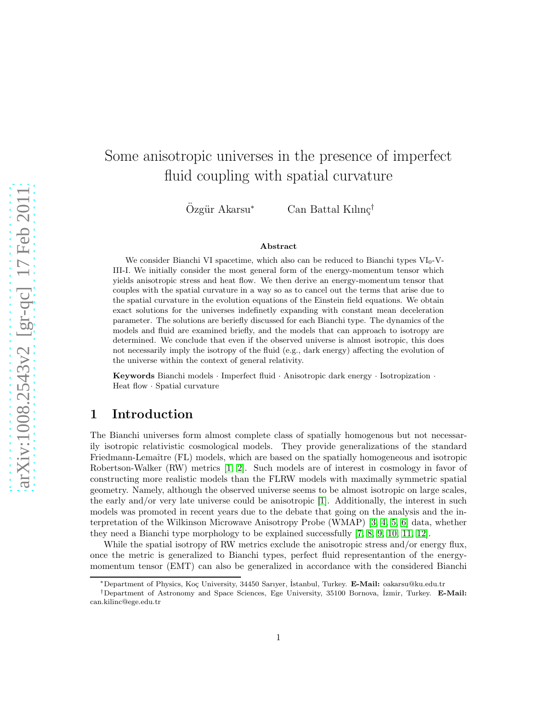# Some anisotropic universes in the presence of imperfect fluid coupling with spatial curvature

Ozgür Akarsu<sup>∗</sup> Can Battal Kılınç<sup>†</sup>

#### Abstract

We consider Bianchi VI spacetime, which also can be reduced to Bianchi types VI<sub>0</sub>-V-III-I. We initially consider the most general form of the energy-momentum tensor which yields anisotropic stress and heat flow. We then derive an energy-momentum tensor that couples with the spatial curvature in a way so as to cancel out the terms that arise due to the spatial curvature in the evolution equations of the Einstein field equations. We obtain exact solutions for the universes indefinetly expanding with constant mean deceleration parameter. The solutions are beriefly discussed for each Bianchi type. The dynamics of the models and fluid are examined briefly, and the models that can approach to isotropy are determined. We conclude that even if the observed universe is almost isotropic, this does not necessarily imply the isotropy of the fluid (e.g., dark energy) affecting the evolution of the universe within the context of general relativity.

Keywords Bianchi models · Imperfect fluid · Anisotropic dark energy · Isotropization · Heat flow · Spatial curvature

## 1 Introduction

The Bianchi universes form almost complete class of spatially homogenous but not necessarily isotropic relativistic cosmological models. They provide generalizations of the standard Friedmann-Lemaître (FL) models, which are based on the spatially homogeneous and isotropic Robertson-Walker (RW) metrics [\[1,](#page-15-0) [2\]](#page-15-1). Such models are of interest in cosmology in favor of constructing more realistic models than the FLRW models with maximally symmetric spatial geometry. Namely, although the observed universe seems to be almost isotropic on large scales, the early and/or very late universe could be anisotropic [\[1\]](#page-15-0). Additionally, the interest in such models was promoted in recent years due to the debate that going on the analysis and the interpretation of the Wilkinson Microwave Anisotropy Probe (WMAP) [\[3,](#page-15-2) [4,](#page-15-3) [5,](#page-15-4) [6\]](#page-15-5) data, whether they need a Bianchi type morphology to be explained successfully [\[7,](#page-15-6) [8,](#page-15-7) [9,](#page-15-8) [10,](#page-15-9) [11,](#page-15-10) [12\]](#page-15-11).

While the spatial isotropy of RW metrics exclude the anisotropic stress and/or energy flux, once the metric is generalized to Bianchi types, perfect fluid representantion of the energymomentum tensor (EMT) can also be generalized in accordance with the considered Bianchi

<sup>\*</sup>Department of Physics, Koç University, 34450 Sarıyer, İstanbul, Turkey. **E-Mail:** oakarsu@ku.edu.tr

<sup>†</sup>Department of Astronomy and Space Sciences, Ege University, 35100 Bornova, ˙Izmir, Turkey. E-Mail: can.kilinc@ege.edu.tr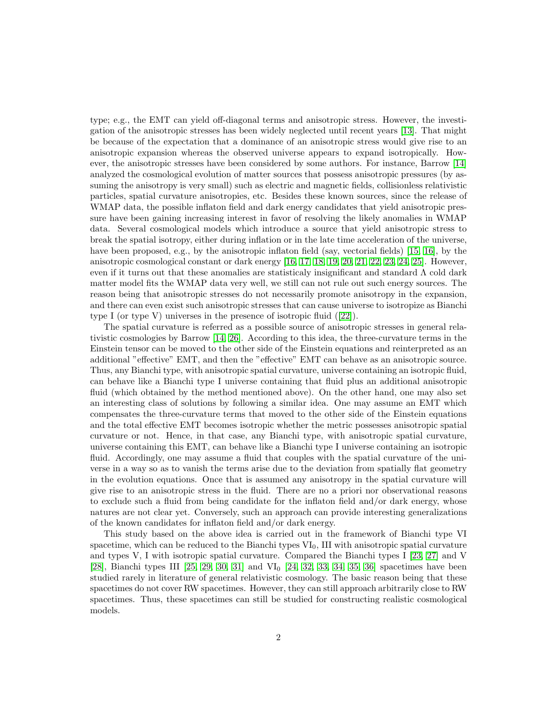type; e.g., the EMT can yield off-diagonal terms and anisotropic stress. However, the investigation of the anisotropic stresses has been widely neglected until recent years [\[13\]](#page-15-12). That might be because of the expectation that a dominance of an anisotropic stress would give rise to an anisotropic expansion whereas the observed universe appears to expand isotropically. However, the anisotropic stresses have been considered by some authors. For instance, Barrow [\[14\]](#page-15-13) analyzed the cosmological evolution of matter sources that possess anisotropic pressures (by assuming the anisotropy is very small) such as electric and magnetic fields, collisionless relativistic particles, spatial curvature anisotropies, etc. Besides these known sources, since the release of WMAP data, the possible inflaton field and dark energy candidates that yield anisotropic pressure have been gaining increasing interest in favor of resolving the likely anomalies in WMAP data. Several cosmological models which introduce a source that yield anisotropic stress to break the spatial isotropy, either during inflation or in the late time acceleration of the universe, have been proposed, e.g., by the anisotropic inflaton field (say, vectorial fields) [\[15,](#page-15-14) [16\]](#page-15-15), by the anisotropic cosmological constant or dark energy [\[16,](#page-15-15) [17,](#page-15-16) [18,](#page-15-17) [19,](#page-15-18) [20,](#page-15-19) [21,](#page-15-20) [22,](#page-15-21) [23,](#page-15-22) [24,](#page-15-23) [25\]](#page-15-24). However, even if it turns out that these anomalies are statisticaly insignificant and standard  $\Lambda$  cold dark matter model fits the WMAP data very well, we still can not rule out such energy sources. The reason being that anisotropic stresses do not necessarily promote anisotropy in the expansion, and there can even exist such anisotropic stresses that can cause universe to isotropize as Bianchi type I (or type V) universes in the presence of isotropic fluid ([\[22\]](#page-15-21)).

The spatial curvature is referred as a possible source of anisotropic stresses in general relativistic cosmologies by Barrow [\[14,](#page-15-13) [26\]](#page-15-25). According to this idea, the three-curvature terms in the Einstein tensor can be moved to the other side of the Einstein equations and reinterpreted as an additional "effective" EMT, and then the "effective" EMT can behave as an anisotropic source. Thus, any Bianchi type, with anisotropic spatial curvature, universe containing an isotropic fluid, can behave like a Bianchi type I universe containing that fluid plus an additional anisotropic fluid (which obtained by the method mentioned above). On the other hand, one may also set an interesting class of solutions by following a similar idea. One may assume an EMT which compensates the three-curvature terms that moved to the other side of the Einstein equations and the total effective EMT becomes isotropic whether the metric possesses anisotropic spatial curvature or not. Hence, in that case, any Bianchi type, with anisotropic spatial curvature, universe containing this EMT, can behave like a Bianchi type I universe containing an isotropic fluid. Accordingly, one may assume a fluid that couples with the spatial curvature of the universe in a way so as to vanish the terms arise due to the deviation from spatially flat geometry in the evolution equations. Once that is assumed any anisotropy in the spatial curvature will give rise to an anisotropic stress in the fluid. There are no a priori nor observational reasons to exclude such a fluid from being candidate for the inflaton field and/or dark energy, whose natures are not clear yet. Conversely, such an approach can provide interesting generalizations of the known candidates for inflaton field and/or dark energy.

This study based on the above idea is carried out in the framework of Bianchi type VI spacetime, which can be reduced to the Bianchi types  $VI_0$ , III with anisotropic spatial curvature and types V, I with isotropic spatial curvature. Compared the Bianchi types I [\[23,](#page-15-22) [27\]](#page-16-0) and V [\[28\]](#page-16-1), Bianchi types III [\[25,](#page-15-24) [29,](#page-16-2) [30,](#page-16-3) [31\]](#page-16-4) and VI<sub>0</sub> [\[24,](#page-15-23) [32,](#page-16-5) [33,](#page-16-6) [34,](#page-16-7) [35,](#page-16-8) [36\]](#page-16-9) spacetimes have been studied rarely in literature of general relativistic cosmology. The basic reason being that these spacetimes do not cover RW spacetimes. However, they can still approach arbitrarily close to RW spacetimes. Thus, these spacetimes can still be studied for constructing realistic cosmological models.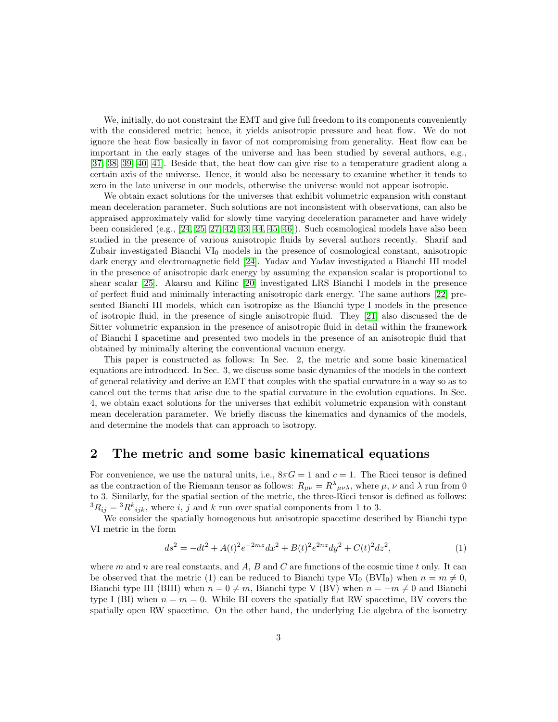We, initially, do not constraint the EMT and give full freedom to its components conveniently with the considered metric; hence, it yields anisotropic pressure and heat flow. We do not ignore the heat flow basically in favor of not compromising from generality. Heat flow can be important in the early stages of the universe and has been studied by several authors, e.g., [\[37,](#page-16-10) [38,](#page-16-11) [39,](#page-16-12) [40,](#page-16-13) [41\]](#page-16-14). Beside that, the heat flow can give rise to a temperature gradient along a certain axis of the universe. Hence, it would also be necessary to examine whether it tends to zero in the late universe in our models, otherwise the universe would not appear isotropic.

We obtain exact solutions for the universes that exhibit volumetric expansion with constant mean deceleration parameter. Such solutions are not inconsistent with observations, can also be appraised approximately valid for slowly time varying deceleration parameter and have widely been considered (e.g., [\[24,](#page-15-23) [25,](#page-15-24) [27,](#page-16-0) [42,](#page-16-15) [43,](#page-16-16) [44,](#page-16-17) [45,](#page-16-18) [46\]](#page-16-19)). Such cosmological models have also been studied in the presence of various anisotropic fluids by several authors recently. Sharif and Zubair investigated Bianchi VI<sup>0</sup> models in the presence of cosmological constant, anisotropic dark energy and electromagnetic field [\[24\]](#page-15-23). Yadav and Yadav investigated a Bianchi III model in the presence of anisotropic dark energy by assuming the expansion scalar is proportional to shear scalar [\[25\]](#page-15-24). Akarsu and Kilinc [\[20\]](#page-15-19) investigated LRS Bianchi I models in the presence of perfect fluid and minimally interacting anisotropic dark energy. The same authors [\[22\]](#page-15-21) presented Bianchi III models, which can isotropize as the Bianchi type I models in the presence of isotropic fluid, in the presence of single anisotropic fluid. They [\[21\]](#page-15-20) also discussed the de Sitter volumetric expansion in the presence of anisotropic fluid in detail within the framework of Bianchi I spacetime and presented two models in the presence of an anisotropic fluid that obtained by minimally altering the conventional vacuum energy.

This paper is constructed as follows: In Sec. 2, the metric and some basic kinematical equations are introduced. In Sec. 3, we discuss some basic dynamics of the models in the context of general relativity and derive an EMT that couples with the spatial curvature in a way so as to cancel out the terms that arise due to the spatial curvature in the evolution equations. In Sec. 4, we obtain exact solutions for the universes that exhibit volumetric expansion with constant mean deceleration parameter. We briefly discuss the kinematics and dynamics of the models, and determine the models that can approach to isotropy.

# 2 The metric and some basic kinematical equations

For convenience, we use the natural units, i.e.,  $8\pi G = 1$  and  $c = 1$ . The Ricci tensor is defined as the contraction of the Riemann tensor as follows:  $R_{\mu\nu} = R^{\lambda}{}_{\mu\nu\lambda}$ , where  $\mu$ ,  $\nu$  and  $\lambda$  run from 0 to 3. Similarly, for the spatial section of the metric, the three-Ricci tensor is defined as follows:  ${}^3R_{ij} = {}^3R^k{}_{ijk}$ , where i, j and k run over spatial components from 1 to 3.

We consider the spatially homogenous but anisotropic spacetime described by Bianchi type VI metric in the form

$$
ds^{2} = -dt^{2} + A(t)^{2}e^{-2m z}dx^{2} + B(t)^{2}e^{2nz}dy^{2} + C(t)^{2}dz^{2},
$$
\n(1)

where  $m$  and  $n$  are real constants, and  $A$ ,  $B$  and  $C$  are functions of the cosmic time  $t$  only. It can be observed that the metric (1) can be reduced to Bianchi type VI<sub>0</sub> (BVI<sub>0</sub>) when  $n = m \neq 0$ , Bianchi type III (BIII) when  $n = 0 \neq m$ , Bianchi type V (BV) when  $n = -m \neq 0$  and Bianchi type I (BI) when  $n = m = 0$ . While BI covers the spatially flat RW spacetime, BV covers the spatially open RW spacetime. On the other hand, the underlying Lie algebra of the isometry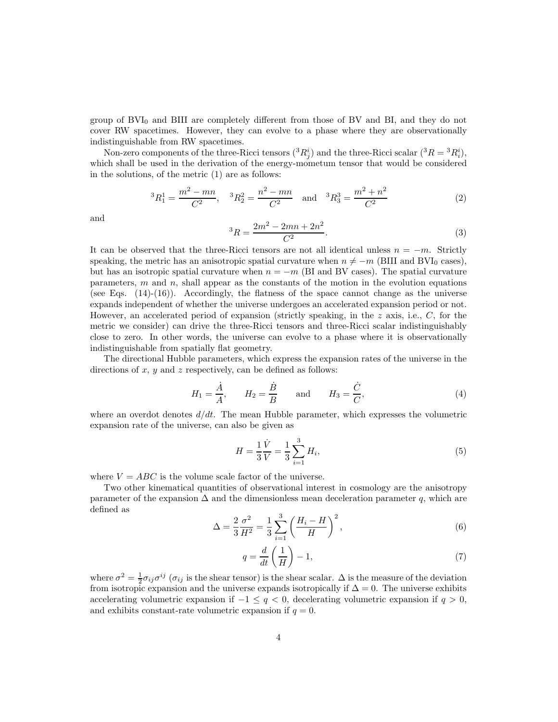group of BVI<sup>0</sup> and BIII are completely different from those of BV and BI, and they do not cover RW spacetimes. However, they can evolve to a phase where they are observationally indistinguishable from RW spacetimes.

Non-zero components of the three-Ricci tensors  $({}^3R_j^i)$  and the three-Ricci scalar  $({}^3R={}^3R_i^i)$ , which shall be used in the derivation of the energy-mometum tensor that would be considered in the solutions, of the metric (1) are as follows:

$$
{}^{3}R_{1}^{1} = \frac{m^{2} - mn}{C^{2}}, \quad {}^{3}R_{2}^{2} = \frac{n^{2} - mn}{C^{2}} \quad \text{and} \quad {}^{3}R_{3}^{3} = \frac{m^{2} + n^{2}}{C^{2}}
$$
 (2)

and

$$
{}^{3}R = \frac{2m^{2} - 2mn + 2n^{2}}{C^{2}}.
$$
\n(3)

It can be observed that the three-Ricci tensors are not all identical unless  $n = -m$ . Strictly speaking, the metric has an anisotropic spatial curvature when  $n \neq -m$  (BIII and BVI<sub>0</sub> cases), but has an isotropic spatial curvature when  $n = -m$  (BI and BV cases). The spatial curvature parameters,  $m$  and  $n$ , shall appear as the constants of the motion in the evolution equations (see Eqs.  $(14)-(16)$ ). Accordingly, the flatness of the space cannot change as the universe expands independent of whether the universe undergoes an accelerated expansion period or not. However, an accelerated period of expansion (strictly speaking, in the  $z$  axis, i.e.,  $C$ , for the metric we consider) can drive the three-Ricci tensors and three-Ricci scalar indistinguishably close to zero. In other words, the universe can evolve to a phase where it is observationally indistinguishable from spatially flat geometry.

The directional Hubble parameters, which express the expansion rates of the universe in the directions of  $x, y$  and  $z$  respectively, can be defined as follows:

$$
H_1 = \frac{\dot{A}}{A}, \qquad H_2 = \frac{\dot{B}}{B} \qquad \text{and} \qquad H_3 = \frac{\dot{C}}{C}, \tag{4}
$$

where an overdot denotes  $d/dt$ . The mean Hubble parameter, which expresses the volumetric expansion rate of the universe, can also be given as

$$
H = \frac{1}{3}\frac{\dot{V}}{V} = \frac{1}{3}\sum_{i=1}^{3}H_i,
$$
\n(5)

where  $V = ABC$  is the volume scale factor of the universe.

Two other kinematical quantities of observational interest in cosmology are the anisotropy parameter of the expansion  $\Delta$  and the dimensionless mean deceleration parameter q, which are defined as

$$
\Delta = \frac{2}{3} \frac{\sigma^2}{H^2} = \frac{1}{3} \sum_{i=1}^3 \left( \frac{H_i - H}{H} \right)^2,
$$
\n(6)

$$
q = \frac{d}{dt} \left( \frac{1}{H} \right) - 1,\tag{7}
$$

where  $\sigma^2 = \frac{1}{2}\sigma_{ij}\sigma^{ij}$  ( $\sigma_{ij}$  is the shear tensor) is the shear scalar.  $\Delta$  is the measure of the deviation from isotropic expansion and the universe expands isotropically if  $\Delta = 0$ . The universe exhibits accelerating volumetric expansion if  $-1 \leq q < 0$ , decelerating volumetric expansion if  $q > 0$ , and exhibits constant-rate volumetric expansion if  $q = 0$ .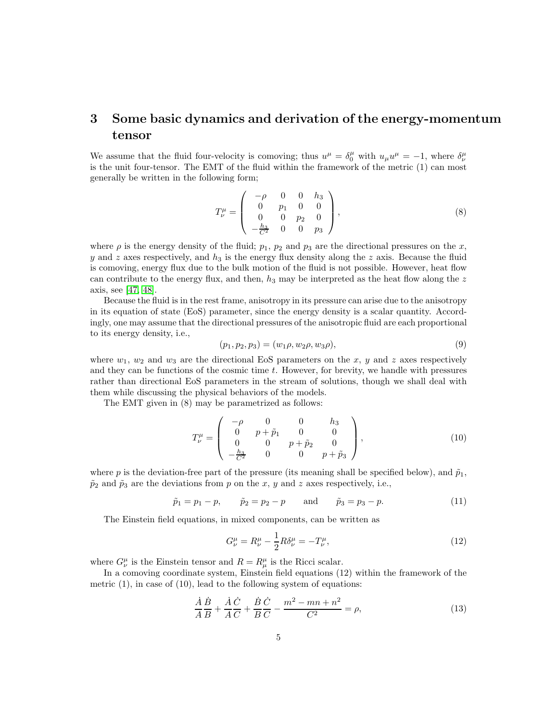# 3 Some basic dynamics and derivation of the energy-momentum tensor

We assume that the fluid four-velocity is comoving; thus  $u^{\mu} = \delta_0^{\mu}$  with  $u_{\mu}u^{\mu} = -1$ , where  $\delta_{\nu}^{\mu}$ is the unit four-tensor. The EMT of the fluid within the framework of the metric (1) can most generally be written in the following form;

$$
T^{\mu}_{\nu} = \begin{pmatrix} -\rho & 0 & 0 & h_3 \\ 0 & p_1 & 0 & 0 \\ 0 & 0 & p_2 & 0 \\ -\frac{h_3}{C^2} & 0 & 0 & p_3 \end{pmatrix},
$$
 (8)

where  $\rho$  is the energy density of the fluid;  $p_1$ ,  $p_2$  and  $p_3$  are the directional pressures on the x, y and z axes respectively, and  $h_3$  is the energy flux density along the z axis. Because the fluid is comoving, energy flux due to the bulk motion of the fluid is not possible. However, heat flow can contribute to the energy flux, and then,  $h_3$  may be interpreted as the heat flow along the z axis, see [\[47,](#page-16-20) [48\]](#page-16-21).

Because the fluid is in the rest frame, anisotropy in its pressure can arise due to the anisotropy in its equation of state (EoS) parameter, since the energy density is a scalar quantity. Accordingly, one may assume that the directional pressures of the anisotropic fluid are each proportional to its energy density, i.e.,

$$
(p_1, p_2, p_3) = (w_1 \rho, w_2 \rho, w_3 \rho), \tag{9}
$$

where  $w_1, w_2$  and  $w_3$  are the directional EoS parameters on the x, y and z axes respectively and they can be functions of the cosmic time  $t$ . However, for brevity, we handle with pressures rather than directional EoS parameters in the stream of solutions, though we shall deal with them while discussing the physical behaviors of the models.

The EMT given in (8) may be parametrized as follows:

$$
T^{\mu}_{\nu} = \begin{pmatrix} -\rho & 0 & 0 & h_3 \\ 0 & p + \tilde{p}_1 & 0 & 0 \\ 0 & 0 & p + \tilde{p}_2 & 0 \\ -\frac{h_3}{C^2} & 0 & 0 & p + \tilde{p}_3 \end{pmatrix},
$$
(10)

where p is the deviation-free part of the pressure (its meaning shall be specified below), and  $\tilde{p}_1$ ,  $\tilde{p}_2$  and  $\tilde{p}_3$  are the deviations from p on the x, y and z axes respectively, i.e.,

$$
\tilde{p}_1 = p_1 - p, \qquad \tilde{p}_2 = p_2 - p \qquad \text{and} \qquad \tilde{p}_3 = p_3 - p. \tag{11}
$$

The Einstein field equations, in mixed components, can be written as

$$
G^{\mu}_{\nu} = R^{\mu}_{\nu} - \frac{1}{2} R \delta^{\mu}_{\nu} = -T^{\mu}_{\nu}, \tag{12}
$$

where  $G^{\mu}_{\nu}$  is the Einstein tensor and  $R = R^{\mu}_{\mu}$  is the Ricci scalar.

In a comoving coordinate system, Einstein field equations (12) within the framework of the metric  $(1)$ , in case of  $(10)$ , lead to the following system of equations:

$$
\frac{\dot{A}}{A}\frac{\dot{B}}{B} + \frac{\dot{A}}{A}\frac{\dot{C}}{C} + \frac{\dot{B}}{B}\frac{\dot{C}}{C} - \frac{m^2 - mn + n^2}{C^2} = \rho,\tag{13}
$$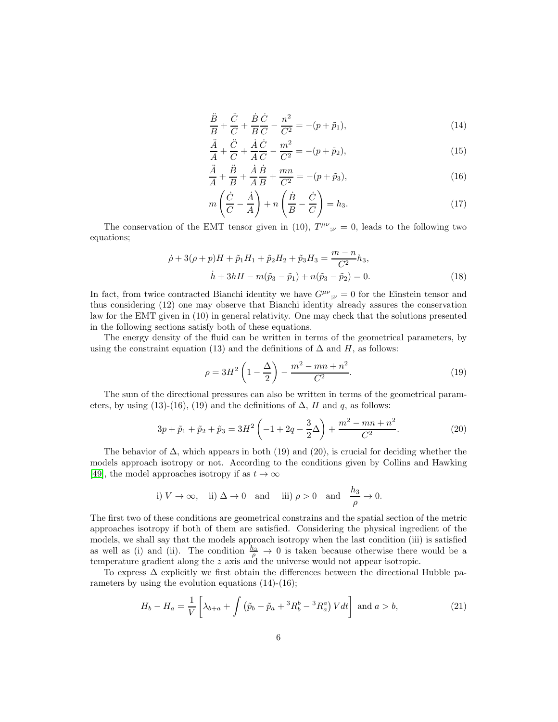$$
\frac{\ddot{B}}{B} + \frac{\ddot{C}}{C} + \frac{\dot{B}}{B}\frac{\dot{C}}{C} - \frac{n^2}{C^2} = -(p + \tilde{p}_1),\tag{14}
$$

$$
\frac{\ddot{A}}{A} + \frac{\ddot{C}}{C} + \frac{\dot{A}}{A}\frac{\dot{C}}{C} - \frac{m^2}{C^2} = -(p + \tilde{p}_2),\tag{15}
$$

$$
\frac{\ddot{A}}{A} + \frac{\ddot{B}}{B} + \frac{\dot{A}}{A}\frac{\dot{B}}{B} + \frac{mn}{C^2} = -(p + \tilde{p}_3),\tag{16}
$$

$$
m\left(\frac{\dot{C}}{C} - \frac{\dot{A}}{A}\right) + n\left(\frac{\dot{B}}{B} - \frac{\dot{C}}{C}\right) = h_3.
$$
\n(17)

The conservation of the EMT tensor given in (10),  $T^{\mu\nu}{}_{;\nu} = 0$ , leads to the following two equations;

$$
\dot{\rho} + 3(\rho + p)H + \tilde{p}_1 H_1 + \tilde{p}_2 H_2 + \tilde{p}_3 H_3 = \frac{m - n}{C^2} h_3,
$$
  

$$
\dot{h} + 3hH - m(\tilde{p}_3 - \tilde{p}_1) + n(\tilde{p}_3 - \tilde{p}_2) = 0.
$$
 (18)

In fact, from twice contracted Bianchi identity we have  $G^{\mu\nu}{}_{;\nu}=0$  for the Einstein tensor and thus considering (12) one may observe that Bianchi identity already assures the conservation law for the EMT given in (10) in general relativity. One may check that the solutions presented in the following sections satisfy both of these equations.

The energy density of the fluid can be written in terms of the geometrical parameters, by using the constraint equation (13) and the definitions of  $\Delta$  and H, as follows:

$$
\rho = 3H^2 \left( 1 - \frac{\Delta}{2} \right) - \frac{m^2 - mn + n^2}{C^2}.
$$
\n(19)

The sum of the directional pressures can also be written in terms of the geometrical parameters, by using (13)-(16), (19) and the definitions of  $\Delta$ , H and q, as follows:

$$
3p + \tilde{p}_1 + \tilde{p}_2 + \tilde{p}_3 = 3H^2 \left( -1 + 2q - \frac{3}{2}\Delta \right) + \frac{m^2 - mn + n^2}{C^2}.
$$
 (20)

The behavior of  $\Delta$ , which appears in both (19) and (20), is crucial for deciding whether the models approach isotropy or not. According to the conditions given by Collins and Hawking [\[49\]](#page-16-22), the model approaches isotropy if as  $t \to \infty$ 

i) 
$$
V \to \infty
$$
, ii)  $\Delta \to 0$  and iii)  $\rho > 0$  and  $\frac{h_3}{\rho} \to 0$ .

The first two of these conditions are geometrical constrains and the spatial section of the metric approaches isotropy if both of them are satisfied. Considering the physical ingredient of the models, we shall say that the models approach isotropy when the last condition (iii) is satisfied as well as (i) and (ii). The condition  $\frac{h_3}{\rho} \to 0$  is taken because otherwise there would be a temperature gradient along the z axis and the universe would not appear isotropic.

To express ∆ explicitly we first obtain the differences between the directional Hubble parameters by using the evolution equations (14)-(16);

$$
H_b - H_a = \frac{1}{V} \left[ \lambda_{b+a} + \int (\tilde{p}_b - \tilde{p}_a + {}^3R_b^b - {}^3R_a^a) V dt \right] \text{ and } a > b,
$$
 (21)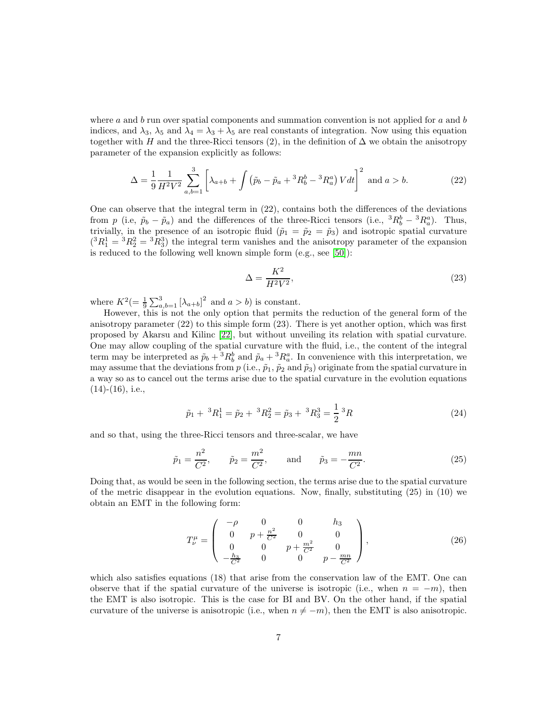where a and b run over spatial components and summation convention is not applied for a and b indices, and  $\lambda_3$ ,  $\lambda_5$  and  $\lambda_4 = \lambda_3 + \lambda_5$  are real constants of integration. Now using this equation together with H and the three-Ricci tensors (2), in the definition of  $\Delta$  we obtain the anisotropy parameter of the expansion explicitly as follows:

$$
\Delta = \frac{1}{9} \frac{1}{H^2 V^2} \sum_{a,b=1}^3 \left[ \lambda_{a+b} + \int \left( \tilde{p}_b - \tilde{p}_a + {}^3R^b_b - {}^3R^a_a \right) V dt \right]^2 \text{ and } a > b. \tag{22}
$$

One can observe that the integral term in (22), contains both the differences of the deviations from p (i.e.,  $\tilde{p}_b - \tilde{p}_a$ ) and the differences of the three-Ricci tensors (i.e.,  ${}^3R_b^b - {}^3R_a^a$ ). Thus, trivially, in the presence of an isotropic fluid  $(\tilde{p}_1 = \tilde{p}_2 = \tilde{p}_3)$  and isotropic spatial curvature  $({}^3R_1^1 = {}^3R_2^2 = {}^3R_3^3)$  the integral term vanishes and the anisotropy parameter of the expansion is reduced to the following well known simple form (e.g., see [\[50\]](#page-16-23)):

$$
\Delta = \frac{K^2}{H^2 V^2},\tag{23}
$$

where  $K^2 = \frac{1}{9} \sum_{a,b=1}^{3} \left[ \lambda_{a+b} \right]^2$  and  $a > b$ ) is constant.

However, this is not the only option that permits the reduction of the general form of the anisotropy parameter (22) to this simple form (23). There is yet another option, which was first proposed by Akarsu and Kilinc [\[22\]](#page-15-21), but without unveiling its relation with spatial curvature. One may allow coupling of the spatial curvature with the fluid, i.e., the content of the integral term may be interpreted as  $\tilde{p}_b + {}^3R_b^b$  and  $\tilde{p}_a + {}^3R_a^a$ . In convenience with this interpretation, we may assume that the deviations from p (i.e.,  $\tilde{p}_1$ ,  $\tilde{p}_2$  and  $\tilde{p}_3$ ) originate from the spatial curvature in a way so as to cancel out the terms arise due to the spatial curvature in the evolution equations  $(14)-(16)$ , i.e.,

$$
\tilde{p}_1 + {}^{3}R_1^1 = \tilde{p}_2 + {}^{3}R_2^2 = \tilde{p}_3 + {}^{3}R_3^3 = \frac{1}{2} {}^{3}R
$$
\n(24)

and so that, using the three-Ricci tensors and three-scalar, we have

$$
\tilde{p}_1 = \frac{n^2}{C^2}, \qquad \tilde{p}_2 = \frac{m^2}{C^2}, \qquad \text{and} \qquad \tilde{p}_3 = -\frac{mn}{C^2}.
$$
\n(25)

Doing that, as would be seen in the following section, the terms arise due to the spatial curvature of the metric disappear in the evolution equations. Now, finally, substituting (25) in (10) we obtain an EMT in the following form:

$$
T^{\mu}_{\nu} = \begin{pmatrix} -\rho & 0 & 0 & h_3 \\ 0 & p + \frac{n^2}{C^2} & 0 & 0 \\ 0 & 0 & p + \frac{m^2}{C^2} & 0 \\ -\frac{h_3}{C^2} & 0 & 0 & p - \frac{mn}{C^2} \end{pmatrix},
$$
(26)

which also satisfies equations (18) that arise from the conservation law of the EMT. One can observe that if the spatial curvature of the universe is isotropic (i.e., when  $n = -m$ ), then the EMT is also isotropic. This is the case for BI and BV. On the other hand, if the spatial curvature of the universe is anisotropic (i.e., when  $n \neq -m$ ), then the EMT is also anisotropic.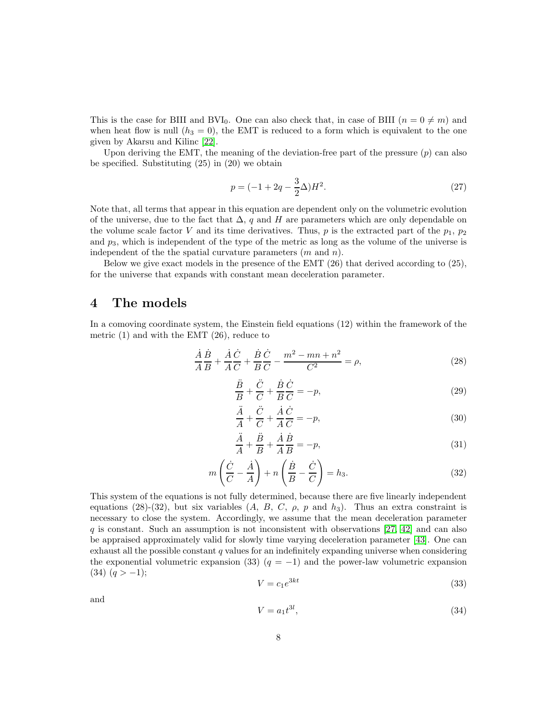This is the case for BIII and BVI<sub>0</sub>. One can also check that, in case of BIII  $(n = 0 \neq m)$  and when heat flow is null  $(h_3 = 0)$ , the EMT is reduced to a form which is equivalent to the one given by Akarsu and Kilinc [\[22\]](#page-15-21).

Upon deriving the EMT, the meaning of the deviation-free part of the pressure  $(p)$  can also be specified. Substituting (25) in (20) we obtain

$$
p = (-1 + 2q - \frac{3}{2}\Delta)H^2.
$$
 (27)

Note that, all terms that appear in this equation are dependent only on the volumetric evolution of the universe, due to the fact that  $\Delta$ , q and H are parameters which are only dependable on the volume scale factor V and its time derivatives. Thus, p is the extracted part of the  $p_1$ ,  $p_2$ and  $p_3$ , which is independent of the type of the metric as long as the volume of the universe is independent of the the spatial curvature parameters  $(m \text{ and } n)$ .

Below we give exact models in the presence of the EMT (26) that derived according to (25), for the universe that expands with constant mean deceleration parameter.

## 4 The models

In a comoving coordinate system, the Einstein field equations (12) within the framework of the metric (1) and with the EMT (26), reduce to

$$
\frac{\dot{A}}{A}\frac{\dot{B}}{B} + \frac{\dot{A}}{A}\frac{\dot{C}}{C} + \frac{\dot{B}}{B}\frac{\dot{C}}{C} - \frac{m^2 - mn + n^2}{C^2} = \rho,
$$
\n(28)

$$
\frac{\ddot{B}}{B} + \frac{\ddot{C}}{C} + \frac{\dot{B}}{B}\frac{\dot{C}}{C} = -p,\tag{29}
$$

$$
\frac{\ddot{A}}{A} + \frac{\ddot{C}}{C} + \frac{\dot{A}}{A}\frac{\dot{C}}{C} = -p,\tag{30}
$$

$$
\frac{\ddot{A}}{A} + \frac{\ddot{B}}{B} + \frac{\dot{A}}{A}\frac{\dot{B}}{B} = -p,\tag{31}
$$

$$
m\left(\frac{\dot{C}}{C} - \frac{\dot{A}}{A}\right) + n\left(\frac{\dot{B}}{B} - \frac{\dot{C}}{C}\right) = h_3.
$$
\n(32)

This system of the equations is not fully determined, because there are five linearly independent equations (28)-(32), but six variables  $(A, B, C, \rho, p$  and  $h_3$ ). Thus an extra constraint is necessary to close the system. Accordingly, we assume that the mean deceleration parameter q is constant. Such an assumption is not inconsistent with observations  $[27, 42]$  $[27, 42]$  and can also be appraised approximately valid for slowly time varying deceleration parameter [\[43\]](#page-16-16). One can exhaust all the possible constant  $q$  values for an indefinitely expanding universe when considering the exponential volumetric expansion (33)  $(q = -1)$  and the power-law volumetric expansion  $(34)$   $(q > -1);$ 

$$
V = c_1 e^{3kt} \tag{33}
$$

and

$$
V = a_1 t^{3l},\tag{34}
$$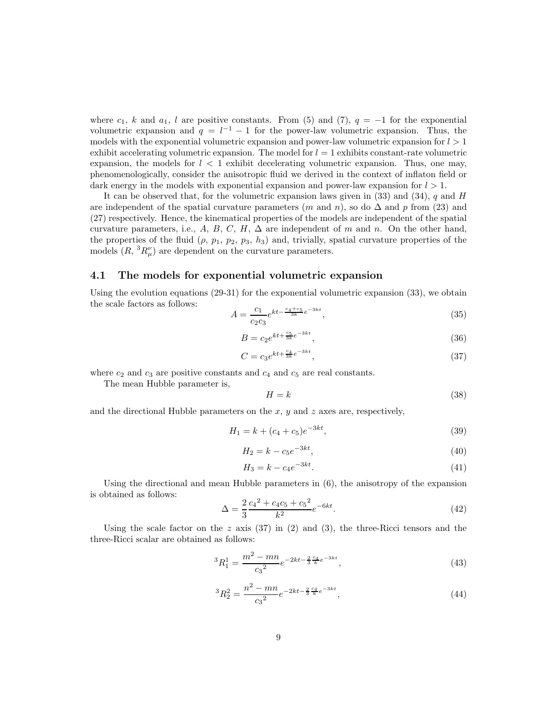where  $c_1$ , k and  $a_1$ , l are positive constants. From (5) and (7),  $q = -1$  for the exponential volumetric expansion and  $q = l^{-1} - 1$  for the power-law volumetric expansion. Thus, the models with the exponential volumetric expansion and power-law volumetric expansion for  $l > 1$ exhibit accelerating volumetric expansion. The model for  $l = 1$  exhibits constant-rate volumetric expansion, the models for  $l < 1$  exhibit decelerating volumetric expansion. Thus, one may, phenomenologically, consider the anisotropic fluid we derived in the context of inflaton field or dark energy in the models with exponential expansion and power-law expansion for  $l > 1$ .

It can be observed that, for the volumetric expansion laws given in  $(33)$  and  $(34)$ , q and H are independent of the spatial curvature parameters  $(m \text{ and } n)$ , so do  $\Delta$  and p from (23) and (27) respectively. Hence, the kinematical properties of the models are independent of the spatial curvature parameters, i.e., A, B, C, H,  $\Delta$  are independent of m and n. On the other hand, the properties of the fluid  $(\rho, p_1, p_2, p_3, h_3)$  and, trivially, spatial curvature properties of the models  $(R, {}^{3}R^{\nu}_{\mu})$  are dependent on the curvature parameters.

### 4.1 The models for exponential volumetric expansion

Using the evolution equations (29-31) for the exponential volumetric expansion (33), we obtain the scale factors as follows:

$$
A = \frac{c_1}{c_2 c_3} e^{kt - \frac{c_4 + c_5}{3k} e^{-3kt}},
$$
\n(35)

$$
B = c_2 e^{kt + \frac{c_5}{3k}e^{-3kt}},\tag{36}
$$

$$
C = c_3 e^{kt + \frac{c_4}{3k}e^{-3kt}},\tag{37}
$$

where  $c_2$  and  $c_3$  are positive constants and  $c_4$  and  $c_5$  are real constants.

The mean Hubble parameter is,

$$
H = k \tag{38}
$$

and the directional Hubble parameters on the  $x, y$  and  $z$  axes are, respectively,

$$
H_1 = k + (c_4 + c_5)e^{-3kt},
$$
\n(39)

$$
H_2 = k - c_5 e^{-3kt},\tag{40}
$$

$$
H_3 = k - c_4 e^{-3kt}.\tag{41}
$$

Using the directional and mean Hubble parameters in (6), the anisotropy of the expansion is obtained as follows:

$$
\Delta = \frac{2}{3} \frac{c_4^2 + c_4 c_5 + c_5^2}{k^2} e^{-6kt}.
$$
\n(42)

Using the scale factor on the  $z$  axis (37) in (2) and (3), the three-Ricci tensors and the three-Ricci scalar are obtained as follows:

$$
{}^{3}R_{1}^{1} = \frac{m^{2} - mn}{c_{3}^{2}} e^{-2kt - \frac{2}{3}\frac{c_{4}}{k}e^{-3kt}},
$$
\n(43)

$$
{}^{3}R_{2}^{2} = \frac{n^{2} - mn}{c_{3}^{2}} e^{-2kt - \frac{2}{3}\frac{c_{4}}{k}e^{-3kt}},
$$
\n(44)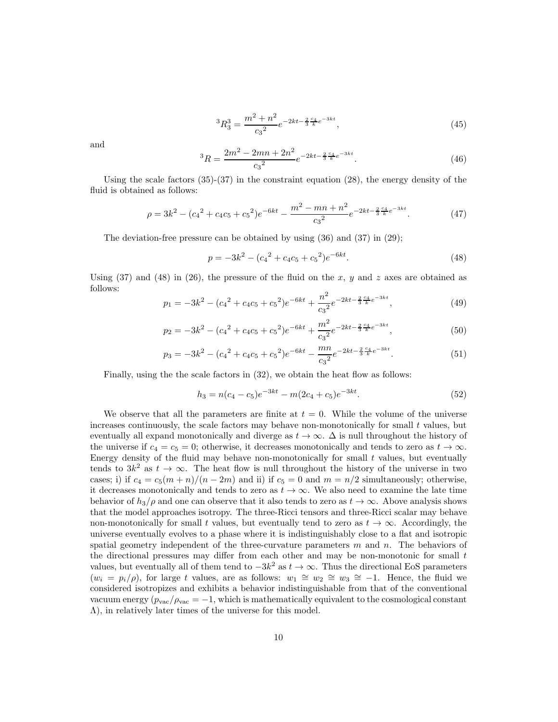$$
{}^{3}R_{3}^{3} = \frac{m^{2} + n^{2}}{c_{3}^{2}} e^{-2kt - \frac{2}{3}\frac{c_{4}}{k}e^{-3kt}},
$$
\n(45)

and

$$
{}^{3}R = \frac{2m^{2} - 2mn + 2n^{2}}{c_{3}^{2}}e^{-2kt - \frac{2}{3}\frac{c_{4}}{k}e^{-3kt}}.
$$
\n(46)

Using the scale factors  $(35)-(37)$  in the constraint equation  $(28)$ , the energy density of the fluid is obtained as follows:

$$
\rho = 3k^2 - (c_4{}^2 + c_4c_5 + c_5{}^2)e^{-6kt} - \frac{m^2 - mn + n^2}{c_3{}^2}e^{-2kt - \frac{2}{3}\frac{c_4}{k}e^{-3kt}}.
$$
\n(47)

The deviation-free pressure can be obtained by using  $(36)$  and  $(37)$  in  $(29)$ ;

$$
p = -3k^2 - (c_4{}^2 + c_4c_5 + c_5{}^2)e^{-6kt}.
$$
\n(48)

Using  $(37)$  and  $(48)$  in  $(26)$ , the pressure of the fluid on the x, y and z axes are obtained as follows:

$$
p_1 = -3k^2 - (c_4{}^2 + c_4c_5 + c_5{}^2)e^{-6kt} + \frac{n^2}{c_3{}^2}e^{-2kt - \frac{2}{3}\frac{c_4}{k}e^{-3kt}},\tag{49}
$$

$$
p_2 = -3k^2 - (c_4{}^2 + c_4c_5 + c_5{}^2)e^{-6kt} + \frac{m^2}{c_3{}^2}e^{-2kt - \frac{2}{3}\frac{c_4}{k}e^{-3kt}},\tag{50}
$$

$$
p_3 = -3k^2 - (c_4{}^2 + c_4c_5 + c_5{}^2)e^{-6kt} - \frac{mn}{c_3{}^2}e^{-2kt - \frac{2}{3}\frac{c_4}{k}e^{-3kt}}.
$$
 (51)

Finally, using the the scale factors in  $(32)$ , we obtain the heat flow as follows:

$$
h_3 = n(c_4 - c_5)e^{-3kt} - m(2c_4 + c_5)e^{-3kt}.
$$
\n(52)

We observe that all the parameters are finite at  $t = 0$ . While the volume of the universe increases continuously, the scale factors may behave non-monotonically for small  $t$  values, but eventually all expand monotonically and diverge as  $t \to \infty$ .  $\Delta$  is null throughout the history of the universe if  $c_4 = c_5 = 0$ ; otherwise, it decreases monotonically and tends to zero as  $t \to \infty$ . Energy density of the fluid may behave non-monotonically for small  $t$  values, but eventually tends to  $3k^2$  as  $t \to \infty$ . The heat flow is null throughout the history of the universe in two cases; i) if  $c_4 = c_5(m+n)/(n-2m)$  and ii) if  $c_5 = 0$  and  $m = n/2$  simultaneously; otherwise, it decreases monotonically and tends to zero as  $t \to \infty$ . We also need to examine the late time behavior of  $h_3/\rho$  and one can observe that it also tends to zero as  $t \to \infty$ . Above analysis shows that the model approaches isotropy. The three-Ricci tensors and three-Ricci scalar may behave non-monotonically for small t values, but eventually tend to zero as  $t \to \infty$ . Accordingly, the universe eventually evolves to a phase where it is indistinguishably close to a flat and isotropic spatial geometry independent of the three-curvature parameters  $m$  and  $n$ . The behaviors of the directional pressures may differ from each other and may be non-monotonic for small t values, but eventually all of them tend to  $-3k^2$  as  $t \to \infty$ . Thus the directional EoS parameters  $(w_i = p_i/\rho)$ , for large t values, are as follows:  $w_1 \cong w_2 \cong w_3 \cong -1$ . Hence, the fluid we considered isotropizes and exhibits a behavior indistinguishable from that of the conventional vacuum energy ( $p_{\text{vac}}/\rho_{\text{vac}} = -1$ , which is mathematically equivalent to the cosmological constant Λ), in relatively later times of the universe for this model.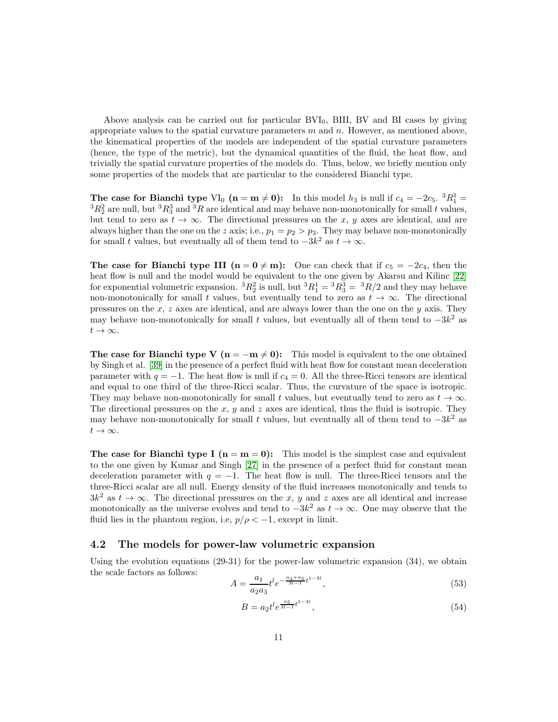Above analysis can be carried out for particular  $BVI_0$ , BIII, BV and BI cases by giving appropriate values to the spatial curvature parameters  $m$  and  $n$ . However, as mentioned above, the kinematical properties of the models are independent of the spatial curvature parameters (hence, the type of the metric), but the dynamical quantities of the fluid, the heat flow, and trivially the spatial curvature properties of the models do. Thus, below, we briefly mention only some properties of the models that are particular to the considered Bianchi type.

The case for Bianchi type  $VI_0$  ( $n = m \neq 0$ ): In this model  $h_3$  is null if  $c_4 = -2c_5$ .  ${}^3R_1^1 =$  ${}^{3}R_{2}^{2}$  are null, but  ${}^{3}R_{3}^{3}$  and  ${}^{3}R$  are identical and may behave non-monotonically for small t values, but tend to zero as  $t \to \infty$ . The directional pressures on the x, y axes are identical, and are always higher than the one on the z axis; i.e.,  $p_1 = p_2 > p_3$ . They may behave non-monotonically for small t values, but eventually all of them tend to  $-3k^2$  as  $t \to \infty$ .

The case for Bianchi type III (n =  $0 \neq m$ ): One can check that if  $c_5 = -2c_4$ , then the heat flow is null and the model would be equivalent to the one given by Akarsu and Kilinc [\[22\]](#page-15-21) for exponential volumetric expansion.  ${}^3R_2^2$  is null, but  ${}^3R_1^1 = {}^3R_3^3 = {}^3R/2$  and they may behave non-monotonically for small t values, but eventually tend to zero as  $t \to \infty$ . The directional pressures on the  $x$ ,  $z$  axes are identical, and are always lower than the one on the  $y$  axis. They may behave non-monotonically for small t values, but eventually all of them tend to  $-3k^2$  as  $t\to\infty$ .

The case for Bianchi type V ( $n = -m \neq 0$ ): This model is equivalent to the one obtained by Singh et al. [\[39\]](#page-16-12) in the presence of a perfect fluid with heat flow for constant mean deceleration parameter with  $q = -1$ . The heat flow is null if  $c_4 = 0$ . All the three-Ricci tensors are identical and equal to one third of the three-Ricci scalar. Thus, the curvature of the space is isotropic. They may behave non-monotonically for small t values, but eventually tend to zero as  $t \to \infty$ . The directional pressures on the  $x, y$  and  $z$  axes are identical, thus the fluid is isotropic. They may behave non-monotonically for small t values, but eventually all of them tend to  $-3k^2$  as  $t\to\infty$ .

The case for Bianchi type I  $(n = m = 0)$ : This model is the simplest case and equivalent to the one given by Kumar and Singh [\[27\]](#page-16-0) in the presence of a perfect fluid for constant mean deceleration parameter with  $q = -1$ . The heat flow is null. The three-Ricci tensors and the three-Ricci scalar are all null. Energy density of the fluid increases monotonically and tends to  $3k^2$  as  $t \to \infty$ . The directional pressures on the x, y and z axes are all identical and increase monotonically as the universe evolves and tend to  $-3k^2$  as  $t \to \infty$ . One may observe that the fluid lies in the phantom region, i.e,  $p/\rho < -1$ , except in limit.

#### 4.2 The models for power-law volumetric expansion

Using the evolution equations (29-31) for the power-law volumetric expansion (34), we obtain the scale factors as follows:

$$
A = \frac{a_1}{a_2 a_3} t^l e^{-\frac{a_4 + a_5}{3l - 1} t^{1 - 3l}},
$$
\n(53)

$$
B = a_2 t^l e^{\frac{a_5}{3l-1}t^{1-3l}},\tag{54}
$$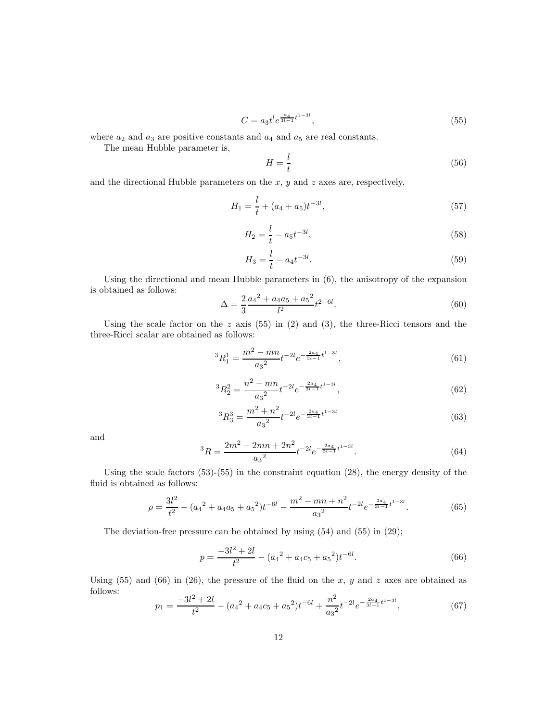$$
C = a_3 t^l e^{\frac{a_4}{3l-1}t^{1-3l}},\tag{55}
$$

where  $a_2$  and  $a_3$  are positive constants and  $a_4$  and  $a_5$  are real constants.

The mean Hubble parameter is,

$$
H = \frac{l}{t} \tag{56}
$$

and the directional Hubble parameters on the  $x, y$  and  $z$  axes are, respectively,

$$
H_1 = \frac{l}{t} + (a_4 + a_5)t^{-3l},\tag{57}
$$

$$
H_2 = \frac{l}{t} - a_5 t^{-3l},\tag{58}
$$

$$
H_3 = \frac{l}{t} - a_4 t^{-3l}.\tag{59}
$$

Using the directional and mean Hubble parameters in  $(6)$ , the anisotropy of the expansion is obtained as follows:

$$
\Delta = \frac{2}{3} \frac{a_4^2 + a_4 a_5 + a_5^2}{l^2} t^{2 - 6l}.
$$
\n(60)

Using the scale factor on the  $z$  axis (55) in (2) and (3), the three-Ricci tensors and the three-Ricci scalar are obtained as follows:

$$
{}^{3}R_{1}^{1} = \frac{m^{2} - mn}{a_{3}^{2}} t^{-2l} e^{-\frac{2a_{4}}{3l-1}t^{1-3l}}, \tag{61}
$$

$$
{}^{3}R_{2}^{2} = \frac{n^{2} - mn}{a_{3}^{2}} t^{-2l} e^{-\frac{2a_{4}}{3l-1}t^{1-3l}},
$$
\n(62)

$$
{}^{3}R_{3}^{3} = \frac{m^{2} + n^{2}}{a_{3}^{2}} t^{-2l} e^{-\frac{2a_{4}}{3l-1}t^{1-3l}}
$$
\n(63)

and

$$
{}^{3}R = \frac{2m^{2} - 2mn + 2n^{2}}{a_{3}^{2}}t^{-2l}e^{-\frac{2a_{4}}{3l-1}t^{1-3l}}.
$$
\n(64)

Using the scale factors  $(53)-(55)$  in the constraint equation  $(28)$ , the energy density of the fluid is obtained as follows:

$$
\rho = \frac{3l^2}{t^2} - (a_4{}^2 + a_4 a_5 + a_5{}^2)t^{-6l} - \frac{m^2 - mn + n^2}{a_3{}^2}t^{-2l}e^{-\frac{2a_4}{3l-1}t^{1-3l}}.\tag{65}
$$

The deviation-free pressure can be obtained by using (54) and (55) in (29);

$$
p = \frac{-3l^2 + 2l}{t^2} - (a_4^2 + a_4c_5 + a_5^2)t^{-6l}.\tag{66}
$$

Using  $(55)$  and  $(66)$  in  $(26)$ , the pressure of the fluid on the x, y and z axes are obtained as follows:

$$
p_1 = \frac{-3l^2 + 2l}{t^2} - (a_4^2 + a_4c_5 + a_5^2)t^{-6l} + \frac{n^2}{a_3^2}t^{-2l}e^{-\frac{2a_4}{3l-1}t^{1-3l}},\tag{67}
$$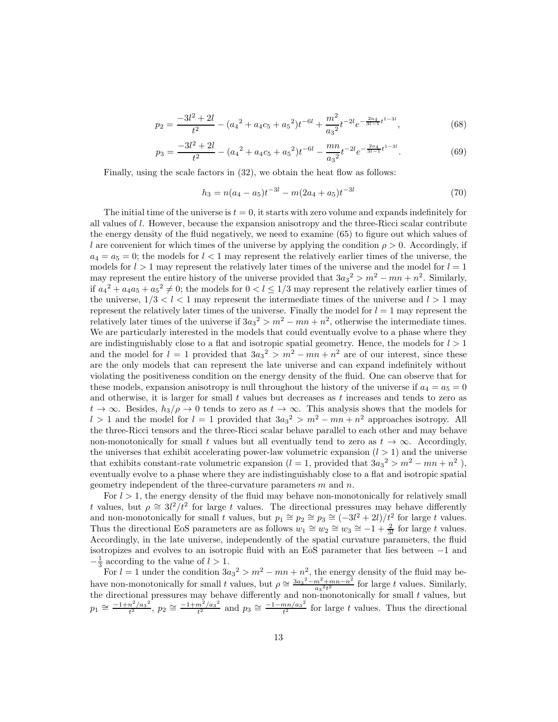$$
p_2 = \frac{-3l^2 + 2l}{t^2} - (a_4^2 + a_4c_5 + a_5^2)t^{-6l} + \frac{m^2}{a_3^2}t^{-2l}e^{-\frac{2a_4}{3l-1}t^{1-3l}},\tag{68}
$$

$$
p_3 = \frac{-3l^2 + 2l}{t^2} - (a_4^2 + a_4c_5 + a_5^2)t^{-6l} - \frac{mn}{a_3^2}t^{-2l}e^{-\frac{2a_4}{3l-1}t^{1-3l}}.\tag{69}
$$

Finally, using the scale factors in (32), we obtain the heat flow as follows:

$$
h_3 = n(a_4 - a_5)t^{-3l} - m(2a_4 + a_5)t^{-3l}
$$
\n(70)

The initial time of the universe is  $t = 0$ , it starts with zero volume and expands indefinitely for all values of l. However, because the expansion anisotropy and the three-Ricci scalar contribute the energy density of the fluid negatively, we need to examine (65) to figure out which values of l are convenient for which times of the universe by applying the condition  $\rho > 0$ . Accordingly, if  $a_4 = a_5 = 0$ ; the models for  $l < 1$  may represent the relatively earlier times of the universe, the models for  $l > 1$  may represent the relatively later times of the universe and the model for  $l = 1$ may represent the entire history of the universe provided that  $3a_3^2 > m^2 - mn + n^2$ . Similarly, if  $a_4^2 + a_4 a_5 + a_5^2 \neq 0$ ; the models for  $0 < l \leq 1/3$  may represent the relatively earlier times of the universe,  $1/3 < l < 1$  may represent the intermediate times of the universe and  $l > 1$  may represent the relatively later times of the universe. Finally the model for  $l = 1$  may represent the relatively later times of the universe if  $3a_3^2 > m^2 - mn + n^2$ , otherwise the intermediate times. We are particularly interested in the models that could eventually evolve to a phase where they are indistinguishably close to a flat and isotropic spatial geometry. Hence, the models for  $l > 1$ and the model for  $l = 1$  provided that  $3a_3^2 > m^2 - mn + n^2$  are of our interest, since these are the only models that can represent the late universe and can expand indefinitely without violating the positiveness condition on the energy density of the fluid. One can observe that for these models, expansion anisotropy is null throughout the history of the universe if  $a_4 = a_5 = 0$ and otherwise, it is larger for small  $t$  values but decreases as  $t$  increases and tends to zero as  $t \to \infty$ . Besides,  $h_3/\rho \to 0$  tends to zero as  $t \to \infty$ . This analysis shows that the models for  $l > 1$  and the model for  $l = 1$  provided that  $3a_3^2 > m^2 - mn + n^2$  approaches isotropy. All the three-Ricci tensors and the three-Ricci scalar behave parallel to each other and may behave non-monotonically for small t values but all eventually tend to zero as  $t \to \infty$ . Accordingly, the universes that exhibit accelerating power-law volumetric expansion  $(l > 1)$  and the universe that exhibits constant-rate volumetric expansion  $(l = 1,$  provided that  $3a_3^2 > m^2 - mn + n^2$ , eventually evolve to a phase where they are indistinguishably close to a flat and isotropic spatial geometry independent of the three-curvature parameters  $m$  and  $n$ .

For  $l > 1$ , the energy density of the fluid may behave non-monotonically for relatively small t values, but  $\rho \cong 3l^2/t^2$  for large t values. The directional pressures may behave differently and non-monotonically for small t values, but  $p_1 \cong p_2 \cong p_3 \cong (-3l^2 + 2l)/t^2$  for large t values. Thus the directional EoS parameters are as follows  $w_1 \cong w_2 \cong w_3 \cong -1 + \frac{2}{3l}$  for large t values. Accordingly, in the late universe, independently of the spatial curvature parameters, the fluid isotropizes and evolves to an isotropic fluid with an EoS parameter that lies between −1 and  $-\frac{1}{3}$  according to the value of  $l > 1$ .

 $3 \text{ according to the value of } t > 1.$ <br>For  $l = 1$  under the condition  $3a_3^2 > m^2 - mn + n^2$ , the energy density of the fluid may behave non-monotonically for small t values, but  $\rho \approx \frac{3a_3^2 - m^2 + mn - n^2}{a_2^2 t^2}$  $\frac{m^2+mn-n^2}{a_3^2t^2}$  for large t values. Similarly, the directional pressures may behave differently and non-monotonically for small t values, but  $p_1 \cong \frac{-1+n^2/a_3^2}{t^2}$  $\frac{n^2/a_3^2}{t^2}$ ,  $p_2 \cong \frac{-1+m^2/a_3^2}{t^2}$  $\frac{n^2/a_3^2}{t^2}$  and  $p_3 \cong \frac{-1 - mn/a_3^2}{t^2}$  $\frac{nn/a_3}{t^2}$  for large t values. Thus the directional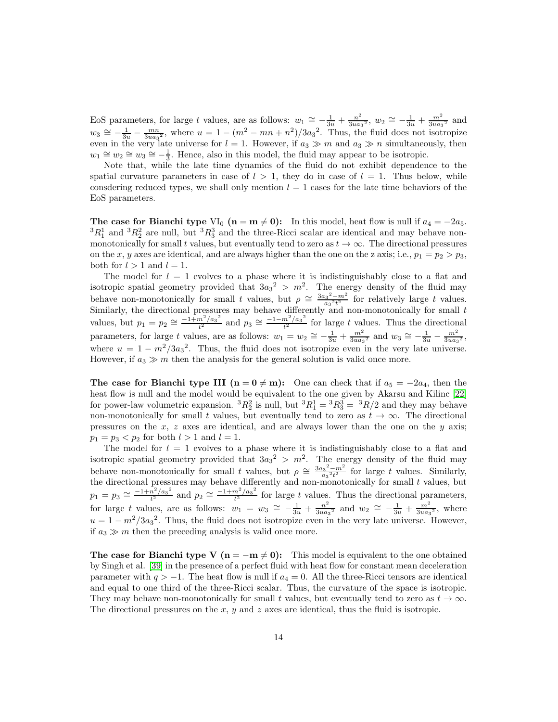EoS parameters, for large t values, are as follows:  $w_1 \approx -\frac{1}{3u} + \frac{n^2}{3ua}$  $\frac{n^2}{3u a_3^2}$ ,  $w_2 \cong -\frac{1}{3u} + \frac{m^2}{3u a_3^2}$  and  $w_3 \approx -\frac{1}{3u} - \frac{mn}{3ua_3^2}$ , where  $u = 1 - (m^2 - mn + n^2)/3a_3^2$ . Thus, the fluid does not isotropize even in the very late universe for  $l = 1$ . However, if  $a_3 \gg m$  and  $a_3 \gg n$  simultaneously, then  $w_1 \cong w_2 \cong w_3 \cong -\frac{1}{3}$ . Hence, also in this model, the fluid may appear to be isotropic.

Note that, while the late time dynamics of the fluid do not exhibit dependence to the spatial curvature parameters in case of  $l > 1$ , they do in case of  $l = 1$ . Thus below, while consdering reduced types, we shall only mention  $l = 1$  cases for the late time behaviors of the EoS parameters.

The case for Bianchi type VI<sub>0</sub> (n = m  $\neq$  0): In this model, heat flow is null if  $a_4 = -2a_5$ .  ${}^{3}R_{1}^{1}$  and  ${}^{3}R_{2}^{2}$  are null, but  ${}^{3}R_{3}^{3}$  and the three-Ricci scalar are identical and may behave nonmonotonically for small t values, but eventually tend to zero as  $t \to \infty$ . The directional pressures on the x, y axes are identical, and are always higher than the one on the z axis; i.e.,  $p_1 = p_2 > p_3$ , both for  $l > 1$  and  $l = 1$ .

The model for  $l = 1$  evolves to a phase where it is indistinguishably close to a flat and isotropic spatial geometry provided that  $3a_3^2 > m^2$ . The energy density of the fluid may behave non-monotonically for small t values, but  $\rho \cong \frac{3a_3^2 - m^2}{a_3^2 t^2}$  for relatively large t values. Similarly, the directional pressures may behave differently and non-monotonically for small  $t$ values, but  $p_1 = p_2 \cong \frac{-1 + m^2/a_3^2}{t^2}$  $\frac{n^2/a_3^2}{t^2}$  and  $p_3 \cong \frac{-1-m^2/a_3^2}{t^2}$  $\frac{n}{t^2}$  for large t values. Thus the directional parameters, for large t values, are as follows:  $w_1 = w_2 \approx -\frac{1}{3u} + \frac{m^2}{3u a_3^2}$  and  $w_3 \approx -\frac{1}{3u} - \frac{m^2}{3u a_3^2}$ , where  $u = 1 - m^2/3a_3^2$ . Thus, the fluid does not isotropize even in the very late universe. However, if  $a_3 \gg m$  then the analysis for the general solution is valid once more.

The case for Bianchi type III (n =  $0 \neq m$ ): One can check that if  $a_5 = -2a_4$ , then the heat flow is null and the model would be equivalent to the one given by Akarsu and Kilinc [\[22\]](#page-15-21) for power-law volumetric expansion.  ${}^{3}R_{2}^{2}$  is null, but  ${}^{3}R_{1}^{1} = {}^{3}R_{3}^{3} = {}^{3}R/2$  and they may behave non-monotonically for small t values, but eventually tend to zero as  $t \to \infty$ . The directional pressures on the  $x$ ,  $z$  axes are identical, and are always lower than the one on the  $y$  axis;  $p_1 = p_3 < p_2$  for both  $l > 1$  and  $l = 1$ .

The model for  $l = 1$  evolves to a phase where it is indistinguishably close to a flat and isotropic spatial geometry provided that  $3a_3^2 > m^2$ . The energy density of the fluid may behave non-monotonically for small t values, but  $\rho \cong \frac{3a_3^2 - m^2}{a_3^2 t^2}$  for large t values. Similarly, the directional pressures may behave differently and non-monotonically for small  $t$  values, but  $p_1 = p_3 \cong \frac{-1 + n^2/a_3^2}{t^2}$  $\frac{n^2/a_3{}^2}{t^2}$  and  $p_2 \cong \frac{-1+m^2/a_3{}^2}{t^2}$  $\frac{n}{t^2}$  for large t values. Thus the directional parameters, for large t values, are as follows:  $w_1 = w_3 \approx -\frac{1}{3u} + \frac{n^2}{3u a_3}$  $\frac{n^2}{3u a_3^2}$  and  $w_2 \approx -\frac{1}{3u} + \frac{m^2}{3u a_3^2}$ , where  $u = 1 - m^2/3a_3^2$ . Thus, the fluid does not isotropize even in the very late universe. However, if  $a_3 \gg m$  then the preceding analysis is valid once more.

The case for Bianchi type V ( $n = -m \neq 0$ ): This model is equivalent to the one obtained by Singh et al. [\[39\]](#page-16-12) in the presence of a perfect fluid with heat flow for constant mean deceleration parameter with  $q > -1$ . The heat flow is null if  $a_4 = 0$ . All the three-Ricci tensors are identical and equal to one third of the three-Ricci scalar. Thus, the curvature of the space is isotropic. They may behave non-monotonically for small t values, but eventually tend to zero as  $t \to \infty$ . The directional pressures on the  $x, y$  and  $z$  axes are identical, thus the fluid is isotropic.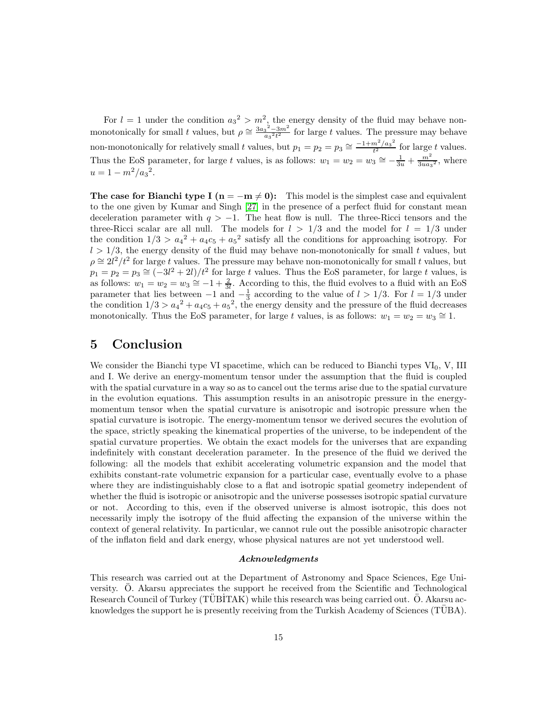For  $l = 1$  under the condition  $a_3^2 > m^2$ , the energy density of the fluid may behave nonmonotonically for small t values, but  $\rho \cong \frac{3a_3^2 - 3m^2}{a_3^2 t^2}$  for large t values. The pressure may behave non-monotonically for relatively small t values, but  $p_1 = p_2 = p_3 \cong \frac{-1+m^2/a_3^2}{t^2}$  $\frac{n}{t^2}$  for large t values. Thus the EoS parameter, for large t values, is as follows:  $w_1 = w_2 = w_3 \approx -\frac{1}{3u} + \frac{m^2}{3u a_3^2}$ , where  $u = 1 - m^2/a_3^2$ .

The case for Bianchi type I (n =  $-m \neq 0$ ): This model is the simplest case and equivalent to the one given by Kumar and Singh [\[27\]](#page-16-0) in the presence of a perfect fluid for constant mean deceleration parameter with  $q > -1$ . The heat flow is null. The three-Ricci tensors and the three-Ricci scalar are all null. The models for  $l > 1/3$  and the model for  $l = 1/3$  under the condition  $1/3 > a_4^2 + a_4 c_5 + a_5^2$  satisfy all the conditions for approaching isotropy. For  $l > 1/3$ , the energy density of the fluid may behave non-monotonically for small t values, but  $\rho \approx 2l^2/t^2$  for large t values. The pressure may behave non-monotonically for small t values, but  $p_1 = p_2 = p_3 \cong (-3l^2 + 2l)/t^2$  for large t values. Thus the EoS parameter, for large t values, is as follows:  $w_1 = w_2 = w_3 \approx -1 + \frac{2}{3l}$ . According to this, the fluid evolves to a fluid with an EoS parameter that lies between  $-1$  and  $-\frac{1}{3}$  according to the value of  $l > 1/3$ . For  $l = 1/3$  under the condition  $1/3 > a_4^2 + a_4c_5 + a_5^2$ , the energy density and the pressure of the fluid decreases monotonically. Thus the EoS parameter, for large t values, is as follows:  $w_1 = w_2 = w_3 \approx 1$ .

# 5 Conclusion

We consider the Bianchi type VI spacetime, which can be reduced to Bianchi types  $VI_0$ , V, III and I. We derive an energy-momentum tensor under the assumption that the fluid is coupled with the spatial curvature in a way so as to cancel out the terms arise due to the spatial curvature in the evolution equations. This assumption results in an anisotropic pressure in the energymomentum tensor when the spatial curvature is anisotropic and isotropic pressure when the spatial curvature is isotropic. The energy-momentum tensor we derived secures the evolution of the space, strictly speaking the kinematical properties of the universe, to be independent of the spatial curvature properties. We obtain the exact models for the universes that are expanding indefinitely with constant deceleration parameter. In the presence of the fluid we derived the following: all the models that exhibit accelerating volumetric expansion and the model that exhibits constant-rate volumetric expansion for a particular case, eventually evolve to a phase where they are indistinguishably close to a flat and isotropic spatial geometry independent of whether the fluid is isotropic or anisotropic and the universe possesses isotropic spatial curvature or not. According to this, even if the observed universe is almost isotropic, this does not necessarily imply the isotropy of the fluid affecting the expansion of the universe within the context of general relativity. In particular, we cannot rule out the possible anisotropic character of the inflaton field and dark energy, whose physical natures are not yet understood well.

#### Acknowledgments

This research was carried out at the Department of Astronomy and Space Sciences, Ege University.  $\ddot{O}$ . Akarsu appreciates the support he received from the Scientific and Technological Research Council of Turkey  $(TÜBITAK)$  while this research was being carried out.  $\ddot{O}$ . Akarsu acknowledges the support he is presently receiving from the Turkish Academy of Sciences (TUBA).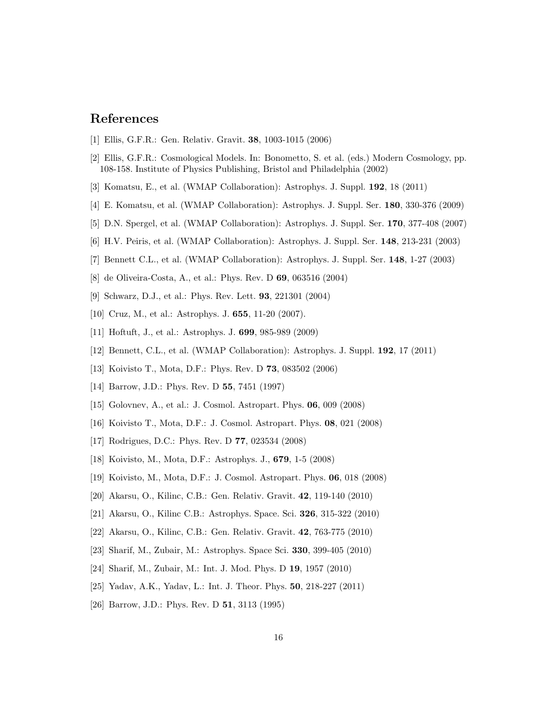# <span id="page-15-0"></span>References

- <span id="page-15-1"></span>[1] Ellis, G.F.R.: Gen. Relativ. Gravit. 38, 1003-1015 (2006)
- <span id="page-15-2"></span>[2] Ellis, G.F.R.: Cosmological Models. In: Bonometto, S. et al. (eds.) Modern Cosmology, pp. 108-158. Institute of Physics Publishing, Bristol and Philadelphia (2002)
- <span id="page-15-3"></span>[3] Komatsu, E., et al. (WMAP Collaboration): Astrophys. J. Suppl. 192, 18 (2011)
- <span id="page-15-4"></span>[4] E. Komatsu, et al. (WMAP Collaboration): Astrophys. J. Suppl. Ser. 180, 330-376 (2009)
- <span id="page-15-5"></span>[5] D.N. Spergel, et al. (WMAP Collaboration): Astrophys. J. Suppl. Ser. 170, 377-408 (2007)
- <span id="page-15-6"></span>[6] H.V. Peiris, et al. (WMAP Collaboration): Astrophys. J. Suppl. Ser. 148, 213-231 (2003)
- <span id="page-15-7"></span>[7] Bennett C.L., et al. (WMAP Collaboration): Astrophys. J. Suppl. Ser. 148, 1-27 (2003)
- <span id="page-15-8"></span>[8] de Oliveira-Costa, A., et al.: Phys. Rev. D 69, 063516 (2004)
- <span id="page-15-9"></span>[9] Schwarz, D.J., et al.: Phys. Rev. Lett. 93, 221301 (2004)
- <span id="page-15-10"></span>[10] Cruz, M., et al.: Astrophys. J. **655**, 11-20 (2007).
- <span id="page-15-11"></span>[11] Hoftuft, J., et al.: Astrophys. J. 699, 985-989 (2009)
- <span id="page-15-12"></span>[12] Bennett, C.L., et al. (WMAP Collaboration): Astrophys. J. Suppl. 192, 17 (2011)
- <span id="page-15-13"></span>[13] Koivisto T., Mota, D.F.: Phys. Rev. D 73, 083502 (2006)
- <span id="page-15-14"></span>[14] Barrow, J.D.: Phys. Rev. D 55, 7451 (1997)
- <span id="page-15-15"></span>[15] Golovnev, A., et al.: J. Cosmol. Astropart. Phys. 06, 009 (2008)
- <span id="page-15-16"></span>[16] Koivisto T., Mota, D.F.: J. Cosmol. Astropart. Phys. 08, 021 (2008)
- <span id="page-15-17"></span>[17] Rodrigues, D.C.: Phys. Rev. D 77, 023534 (2008)
- <span id="page-15-18"></span>[18] Koivisto, M., Mota, D.F.: Astrophys. J., 679, 1-5 (2008)
- <span id="page-15-19"></span>[19] Koivisto, M., Mota, D.F.: J. Cosmol. Astropart. Phys. 06, 018 (2008)
- <span id="page-15-20"></span>[20] Akarsu, O., Kilinc, C.B.: Gen. Relativ. Gravit. 42, 119-140 (2010)
- <span id="page-15-21"></span>[21] Akarsu, O., Kilinc C.B.: Astrophys. Space. Sci. 326, 315-322 (2010)
- <span id="page-15-22"></span>[22] Akarsu, O., Kilinc, C.B.: Gen. Relativ. Gravit. 42, 763-775 (2010)
- <span id="page-15-23"></span>[23] Sharif, M., Zubair, M.: Astrophys. Space Sci. 330, 399-405 (2010)
- <span id="page-15-24"></span>[24] Sharif, M., Zubair, M.: Int. J. Mod. Phys. D 19, 1957 (2010)
- <span id="page-15-25"></span>[25] Yadav, A.K., Yadav, L.: Int. J. Theor. Phys. 50, 218-227 (2011)
- [26] Barrow, J.D.: Phys. Rev. D 51, 3113 (1995)